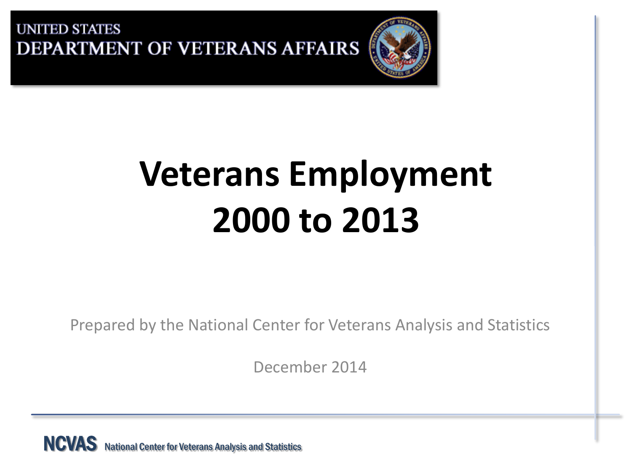

# **Veterans Employment 2000 to 2013**

Prepared by the National Center for Veterans Analysis and Statistics

December 2014

NCVAS National Center for Veterans Analysis and Statistics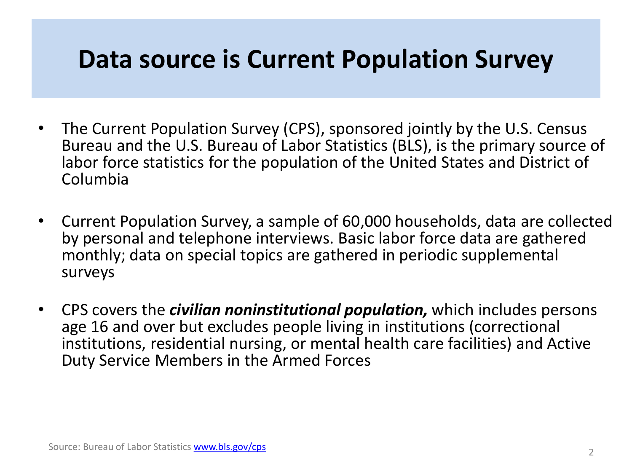## **Data source is Current Population Survey**

- The Current Population Survey (CPS), sponsored jointly by the U.S. Census Bureau and the U.S. Bureau of Labor Statistics (BLS), is the primary source of labor force statistics for the population of the United States and District of Columbia
- Current Population Survey, a sample of 60,000 households, data are collected by personal and telephone interviews. Basic labor force data are gathered monthly; data on special topics are gathered in periodic supplemental surveys
- CPS covers the *civilian noninstitutional population,* which includes persons age 16 and over but excludes people living in institutions (correctional institutions, residential nursing, or mental health care facilities) and Active Duty Service Members in the Armed Forces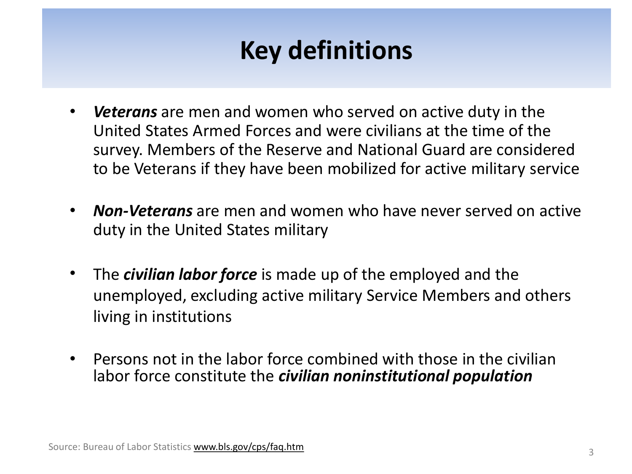#### How dofini **Key definitions**

- *Veterans* are men and women who served on active duty in the United States Armed Forces and were civilians at the time of the survey. Members of the Reserve and National Guard are considered to be Veterans if they have been mobilized for active military service
- *Non-Veterans* are men and women who have never served on active duty in the United States military
- The *civilian labor force* is made up of the employed and the unemployed, excluding active military Service Members and others living in institutions
- Persons not in the labor force combined with those in the civilian labor force constitute the *civilian noninstitutional population*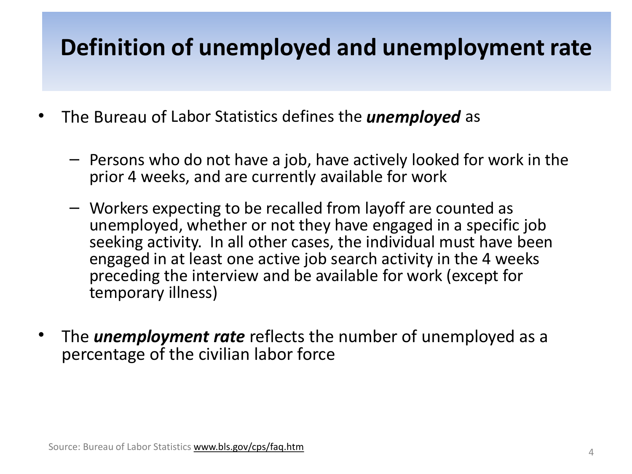#### uon or unemployed and unemploym **Definition of unemployed and unemployment rate**

- The Bureau of Labor Statistics defines the *unemployed* as
	- Persons who do not have a job, have actively looked for work in the prior 4 weeks, and are currently available for work
	- Workers expecting to be recalled from layoff are counted as unemployed, whether or not they have engaged in a specific job seeking activity. In all other cases, the individual must have been engaged in at least one active job search activity in the 4 weeks preceding the interview and be available for work (except for temporary illness)
- The *unemployment rate* reflects the number of unemployed as a percentage of the civilian labor force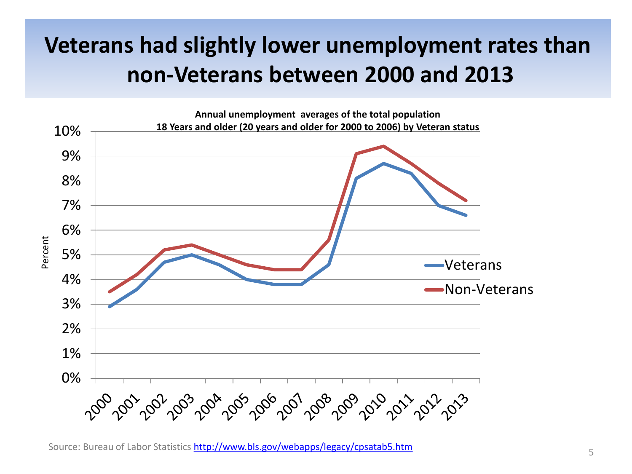#### **Veterans had slightly lower unemployment rates than non-Veterans between 2000 and 2013**



Source: Bureau of Labor Statistics <http://www.bls.gov/webapps/legacy/cpsatab5.htm> 5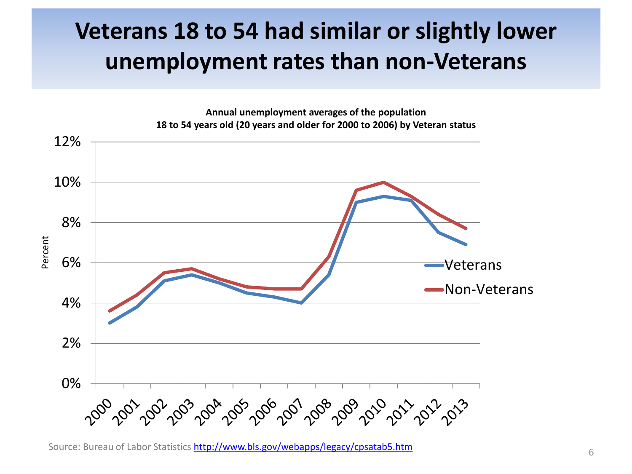### **Veterans 18 to 54 had similar or slightly lower unemployment rates than non-Veterans**



Source: Bureau of Labor Statistics <http://www.bls.gov/webapps/legacy/cpsatab5.htm> 6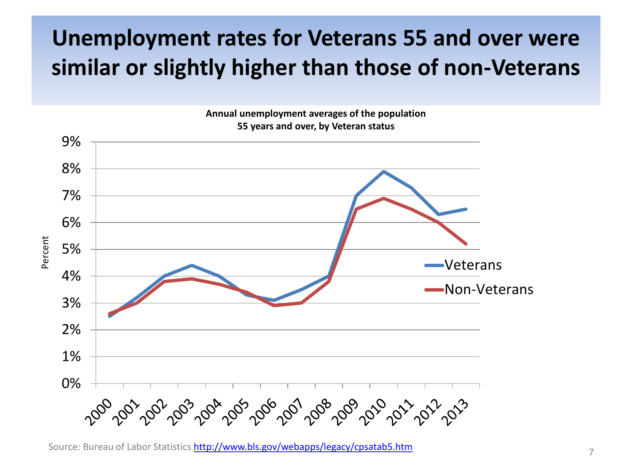### **Unemployment rates for Veterans 55 and over were similar or slightly higher than those of non-Veterans**



**Annual unemployment averages of the population**

Source: Bureau of Labor Statistics <http://www.bls.gov/webapps/legacy/cpsatab5.htm> 7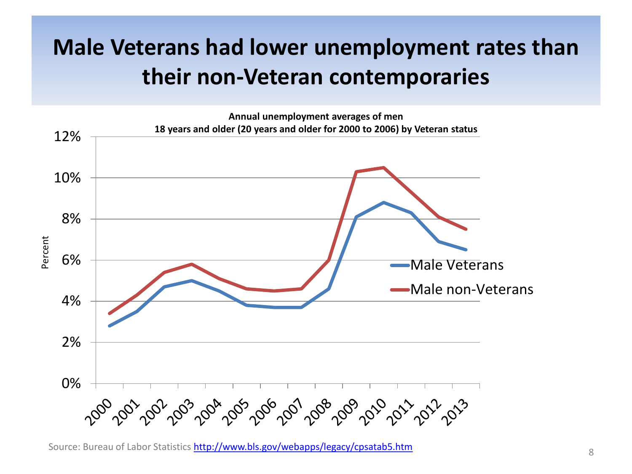### **Male Veterans had lower unemployment rates than their non-Veteran contemporaries**



Source: Bureau of Labor Statistics **<http://www.bls.gov/webapps/legacy/cpsatab5.htm>** 8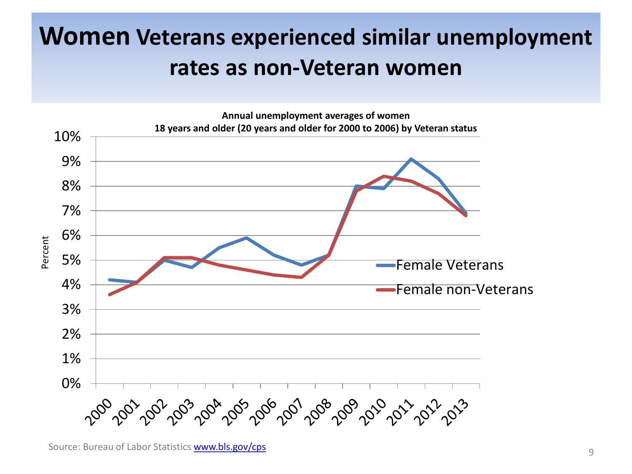## **Women Veterans experienced similar unemployment rates as non-Veteran women**

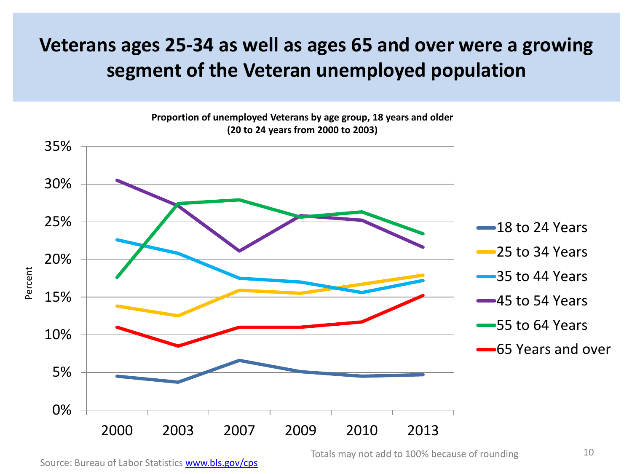#### **Veterans ages 25-34 as well as ages 65 and over were a growing segment of the Veteran unemployed population**



Source: Bureau of Labor Statistics [www.bls.gov/cps](http://www.bls.gov/cps)

Totals may not add to 100% because of rounding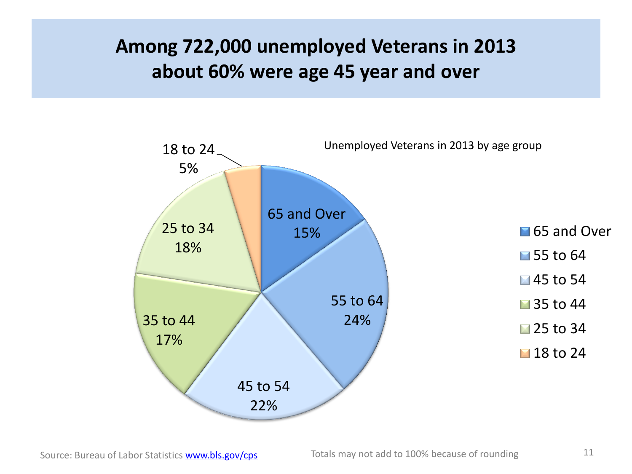#### **Among 722,000 unemployed Veterans in 2013 about 60% were age 45 year and over**

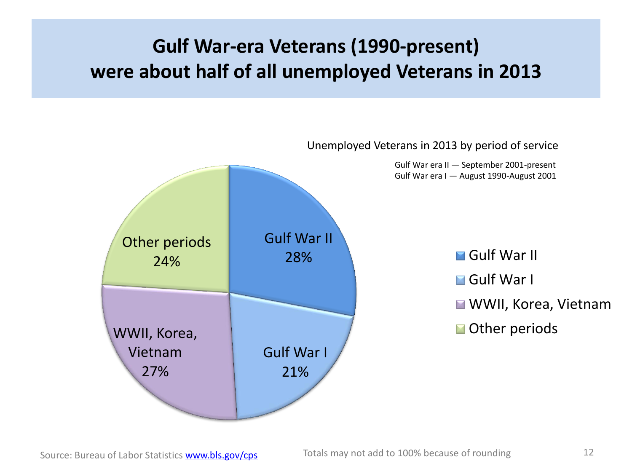#### **Gulf War-era Veterans (1990-present) were about half of all unemployed Veterans in 2013**

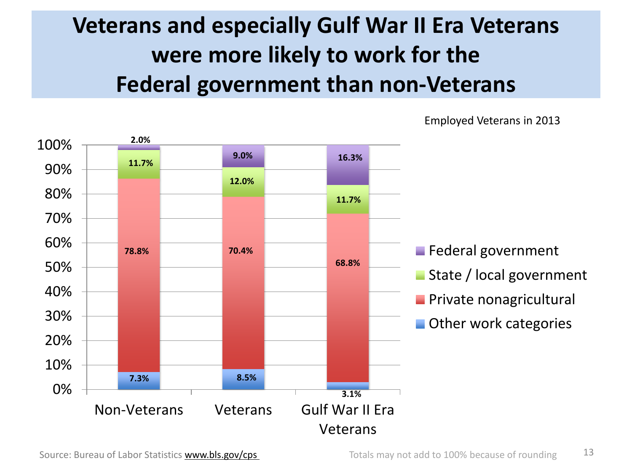## **Veterans and especially Gulf War II Era Veterans were more likely to work for the Federal government than non-Veterans**



Employed Veterans in 2013